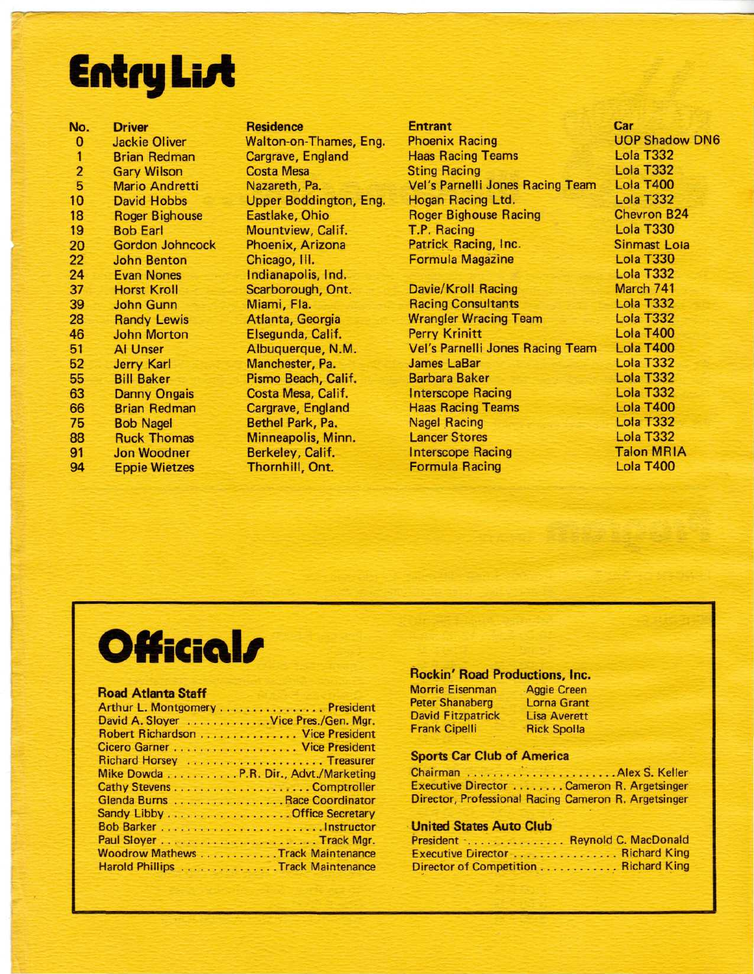# Entry Li*s*t

| No.            | <b>Driver</b>          |
|----------------|------------------------|
| 0              | <b>Jackie Oliver</b>   |
| $\mathbf{1}$   | <b>Brian Redman</b>    |
| $\overline{2}$ | <b>Gary Wilson</b>     |
| 5              | <b>Mario Andretti</b>  |
| 10             | <b>David Hobbs</b>     |
| 18             | <b>Roger Bighouse</b>  |
| 19             | <b>Bob Earl</b>        |
| 20             | <b>Gordon Johncock</b> |
| 22             | <b>John Benton</b>     |
| 24             | <b>Evan Nones</b>      |
| 37             | <b>Horst Kroll</b>     |
| 39             | <b>John Gunn</b>       |
| 28             | <b>Randy Lewis</b>     |
| 46             | <b>John Morton</b>     |
| 51             | <b>Al Unser</b>        |
| 52             | <b>Jerry Karl</b>      |
| 55             | <b>Bill Baker</b>      |
| 63             | <b>Danny Ongais</b>    |
| 66             | <b>Brian Redman</b>    |
| 75             | <b>Bob Nagel</b>       |
| 88             | <b>Ruck Thomas</b>     |
| 91             | <b>Jon Woodner</b>     |
| 94             | <b>Eppie Wietzes</b>   |
|                |                        |

**Residence** Walton-on-Thames, Eng. Cargrave, England Costa Mesa Nazareth, Pa. Upper Boddington, Eng. Eastlake, Ohio Mountview, Calif. Phoenix, Arizona Chicago, III. Indianapolis, Ind. Scarborough, Ont. Miami, Fla. Atlanta, Georgia Elsegunda, Calif. Albuquerque, N.M. Manchester, Pa. Pismo Beach, Calif. Costa Mesa, Calif. Cargrave, England Bethel Park, Pa. Minneapolis, Minn. Berkeley, Calif. Thornhill, Ont.

#### **Entrant** Phoenix Racing Haas Racing Teams Sting Racing Vel's Parnelli Jones Racing Team Hogan Racing Ltd. Roger Bighouse Racing T.P. Racing Patrick Racing, Inc. Formula Magazine Davie/Kroll Racing Racing Consultants Wrangler Wracing Team Perry Krinitt Vel's Parnelli Jones Racing Team James LaSar Barbara Baker Interscope Racing Haas Racing Teams Nagel Racing Lancer Stores Interscope Racing Formula Racing **Car** UOP Shadow DN6 Lola T332 Lola T332 Lola T400 Lola T332 Chevron B24 Lola T330 Sinmast Lola Lola T330 Lola T332 March 741 Lola T332 Lola T332 Lola T400 Lola T400 Lola T332 Lola T332 Lola T332 Lola T400 Lola T332 Lola T332 **Talon MRIA** Lola T400

## **Official/**

#### **Road Atlanta Staff**

| Arthur L. Montgomery President        |
|---------------------------------------|
| David A. Sloyer Vice Pres./Gen. Mgr.  |
| Robert Richardson Vice President      |
|                                       |
| Richard Horsey Treasurer              |
| Mike Dowda P.R. Dir., Advt./Marketing |
|                                       |
| Glenda Burns Race Coordinator         |
|                                       |
|                                       |
|                                       |
| Woodrow Mathews Track Maintenance     |
| Harold Phillips Track Maintenance     |

#### **Rockin' Road Productions, Inc.**

| <b>Morrie Eisenman</b>   | <b>Aggie Creen</b><br><b>Lorna Grant</b> |
|--------------------------|------------------------------------------|
| <b>Peter Shanaberg</b>   |                                          |
| <b>David Fitzpatrick</b> | <b>Lisa Averett</b>                      |
| <b>Frank Cipelli</b>     | <b>Rick Spolla</b>                       |

#### **Sports Car Club of America**

Chairman Alex S. Keller Executive Director . . . . . . . . Cameron R. Argetsinger Director, Professional Racing Cameron R. Argetsinger

#### **United States Auto Club**

| President : Reynold C. MacDonald     |  |
|--------------------------------------|--|
| Executive Director  Richard King     |  |
| Director of Competition Richard King |  |